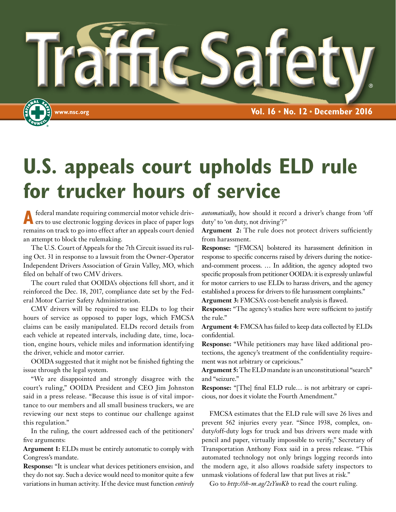

# **U.S. appeals court upholds ELD rule for trucker hours of service**

A federal mandate requiring commercial motor vehicle driv-<br>ers to use electronic logging devices in place of paper logs remains on track to go into effect after an appeals court denied an attempt to block the rulemaking.

The U.S. Court of Appeals for the 7th Circuit issued its ruling Oct. 31 in response to a lawsuit from the Owner-Operator Independent Drivers Association of Grain Valley, MO, which filed on behalf of two CMV drivers.

The court ruled that OOIDA's objections fell short, and it reinforced the Dec. 18, 2017, compliance date set by the Federal Motor Carrier Safety Administration.

CMV drivers will be required to use ELDs to log their hours of service as opposed to paper logs, which FMCSA claims can be easily manipulated. ELDs record details from each vehicle at repeated intervals, including date, time, location, engine hours, vehicle miles and information identifying the driver, vehicle and motor carrier.

OOIDA suggested that it might not be finished fighting the issue through the legal system.

"We are disappointed and strongly disagree with the court's ruling," OOIDA President and CEO Jim Johnston said in a press release. "Because this issue is of vital importance to our members and all small business truckers, we are reviewing our next steps to continue our challenge against this regulation."

In the ruling, the court addressed each of the petitioners' five arguments:

**Argument 1:** ELDs must be entirely automatic to comply with Congress's mandate.

**Response:** "It is unclear what devices petitioners envision, and they do not say. Such a device would need to monitor quite a few variations in human activity. If the device must function *entirely*  *automatically*, how should it record a driver's change from 'off duty' to 'on duty, not driving'?"

**Argument 2:** The rule does not protect drivers sufficiently from harassment.

**Response:** "[FMCSA] bolstered its harassment definition in response to specific concerns raised by drivers during the noticeand-comment process. … In addition, the agency adopted two specific proposals from petitioner OOIDA: it is expressly unlawful for motor carriers to use ELDs to harass drivers, and the agency established a process for drivers to file harassment complaints."

**Argument 3:** FMCSA's cost-benefit analysis is flawed.

**Response:** "The agency's studies here were sufficient to justify the rule."

**Argument 4:** FMCSA has failed to keep data collected by ELDs confidential.

**Response:** "While petitioners may have liked additional protections, the agency's treatment of the confidentiality requirement was not arbitrary or capricious."

**Argument 5:** The ELD mandate is an unconstitutional "search" and "seizure."

**Response:** "[The] final ELD rule… is not arbitrary or capricious, nor does it violate the Fourth Amendment."

FMCSA estimates that the ELD rule will save 26 lives and prevent 562 injuries every year. "Since 1938, complex, onduty/off-duty logs for truck and bus drivers were made with pencil and paper, virtually impossible to verify," Secretary of Transportation Anthony Foxx said in a press release. "This automated technology not only brings logging records into the modern age, it also allows roadside safety inspectors to unmask violations of federal law that put lives at risk."

Go to *http://sh-m.ag/2eYuoKh* to read the court ruling.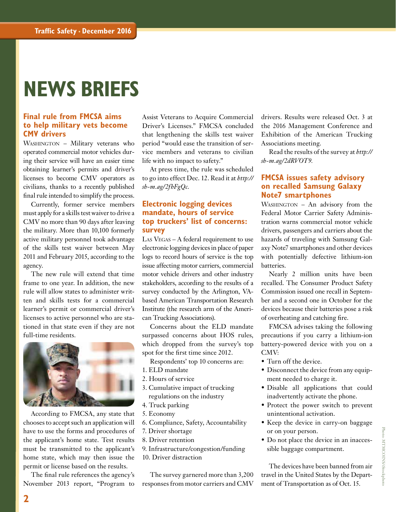### **NEWS BRIEFS**

#### **Final rule from FMCSA aims to help military vets become CMV drivers**

WASHINGTON - Military veterans who operated commercial motor vehicles during their service will have an easier time obtaining learner's permits and driver's licenses to become CMV operators as civilians, thanks to a recently published final rule intended to simplify the process.

Currently, former service members must apply for a skills test waiver to drive a CMV no more than 90 days after leaving the military. More than 10,100 formerly active military personnel took advantage of the skills test waiver between May 2011 and February 2015, according to the agency.

The new rule will extend that time frame to one year. In addition, the new rule will allow states to administer written and skills tests for a commercial learner's permit or commercial driver's licenses to active personnel who are stationed in that state even if they are not full-time residents.



According to FMCSA, any state that chooses to accept such an application will have to use the forms and procedures of the applicant's home state. Test results must be transmitted to the applicant's home state, which may then issue the permit or license based on the results.

The final rule references the agency's November 2013 report, "Program to

Assist Veterans to Acquire Commercial Driver's Licenses." FMCSA concluded that lengthening the skills test waiver period "would ease the transition of service members and veterans to civilian life with no impact to safety."

At press time, the rule was scheduled to go into effect Dec. 12. Read it at *http:// sh-m.ag/2fhFgQc*.

#### **Electronic logging devices mandate, hours of service top truckers' list of concerns: survey**

Las VEGAS - A federal requirement to use electronic logging devices in place of paper logs to record hours of service is the top issue affecting motor carriers, commercial motor vehicle drivers and other industry stakeholders, according to the results of a survey conducted by the Arlington, VAbased American Transportation Research Institute (the research arm of the American Trucking Associations).

Concerns about the ELD mandate surpassed concerns about HOS rules, which dropped from the survey's top spot for the first time since 2012.

- Respondents' top 10 concerns are:
- 1. ELD mandate
- 2. Hours of service
- 3. Cumulative impact of trucking regulations on the industry
- 4. Truck parking
- 5. Economy
- 6. Compliance, Safety, Accountability
- 7. Driver shortage
- 8. Driver retention
- 9. Infrastructure/congestion/funding
- 10. Driver distraction

The survey garnered more than 3,200 responses from motor carriers and CMV drivers. Results were released Oct. 3 at the 2016 Management Conference and Exhibition of the American Trucking Associations meeting.

Read the results of the survey at *http:// sh-m.ag/2dRVOT9.*

#### **FMCSA issues safety advisory on recalled Samsung Galaxy Note7 smartphones**

WASHINGTON - An advisory from the Federal Motor Carrier Safety Administration warns commercial motor vehicle drivers, passengers and carriers about the hazards of traveling with Samsung Galaxy Note7 smartphones and other devices with potentially defective lithium-ion batteries.

Nearly 2 million units have been recalled. The Consumer Product Safety Commission issued one recall in September and a second one in October for the devices because their batteries pose a risk of overheating and catching fire.

FMCSA advises taking the following precautions if you carry a lithium-ion battery-powered device with you on a CMV:

- Turn off the device.
- Disconnect the device from any equipment needed to charge it.
- Disable all applications that could inadvertently activate the phone.
- Protect the power switch to prevent unintentional activation.
- Keep the device in carry-on baggage or on your person.
- Do not place the device in an inaccessible baggage compartment.

The devices have been banned from air travel in the United States by the Department of Transportation as of Oct. 15.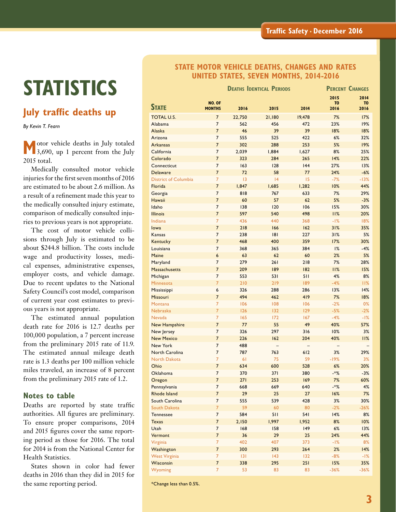## **STATISTICS**

### **July traffic deaths up**

*By Kevin T. Fearn*

 **M**otor vehicle deaths in July totaled 3,690, up 1 percent from the July 2015 total.

Medically consulted motor vehicle injuries for the first seven months of 2016 are estimated to be about 2.6 million. As a result of a refinement made this year to the medically consulted injury estimate, comparison of medically consulted injuries to previous years is not appropriate.

The cost of motor vehicle collisions through July is estimated to be about \$244.8 billion. The costs include wage and productivity losses, medical expenses, administrative expenses, employer costs, and vehicle damage. Due to recent updates to the National Safety Council's cost model, comparison of current year cost estimates to previous years is not appropriate.

The estimated annual population death rate for 2016 is 12.7 deaths per 100,000 population, a 7 percent increase from the preliminary 2015 rate of 11.9. The estimated annual mileage death rate is 1.3 deaths per 100 million vehicle miles traveled, an increase of 8 percent from the preliminary 2015 rate of 1.2.

#### **Notes to table**

Deaths are reported by state traffic authorities. All figures are preliminary. To ensure proper comparisons, 2014 and 2015 figures cover the same reporting period as those for 2016. The total for 2014 is from the National Center for Health Statistics.

States shown in color had fewer deaths in 2016 than they did in 2015 for the same reporting period.

#### **STATE MOTOR VEHICLE DEATHS, CHANGES AND RATES UNITED STATES, SEVEN MONTHS, 2014-2016**

|                             |                         | <b>DEATHS IDENTICAL PERIODS</b> | <b>PERCENT CHANGES</b> |        |                        |                        |
|-----------------------------|-------------------------|---------------------------------|------------------------|--------|------------------------|------------------------|
|                             |                         |                                 |                        |        | 2015                   | 2014                   |
| <b>STATE</b>                | NO. OF<br><b>MONTHS</b> | 2016                            | 2015                   | 2014   | T <sub>0</sub><br>2016 | T <sub>0</sub><br>2016 |
| <b>TOTAL U.S.</b>           | $\overline{7}$          | 22,750                          | 21,180                 | 19,478 | 7%                     | 17%                    |
| Alabama                     | $\overline{7}$          | 562                             | 456                    | 472    | 23%                    | 19%                    |
| Alaska                      | $\overline{7}$          | 46                              | 39                     | 39     | 18%                    | 18%                    |
| Arizona                     | $\overline{7}$          | 555                             | 525                    | 422    | 6%                     | 32%                    |
| <b>Arkansas</b>             | $\overline{7}$          | 302                             | 288                    | 253    | 5%                     | 19%                    |
| California                  | $\overline{7}$          | 2,039                           | 1,884                  | 1,627  | 8%                     | 25%                    |
| Colorado                    | $\overline{7}$          | 323                             | 284                    | 265    | 14%                    | 22%                    |
| Connecticut                 | $\overline{7}$          | 163                             | 128                    | 44     | 27%                    | 13%                    |
| <b>Delaware</b>             | $\overline{7}$          | 72                              | 58                     | 77     | 24%                    | $-6%$                  |
| <b>District of Columbia</b> | $\overline{7}$          | 13                              | 4                      | 15     | $-7%$                  | $-13%$                 |
| Florida                     | $\overline{7}$          | 1,847                           | 1,685                  | 1,282  | 10%                    | 44%                    |
| Georgia                     | $\overline{7}$          | 818                             | 767                    | 633    | 7%                     | 29%                    |
| Hawaii                      | $\overline{7}$          | 60                              | 57                     | 62     | 5%                     | $-3%$                  |
| Idaho                       | $\overline{7}$          | 138                             | 120                    | 106    | 15%                    | 30%                    |
| <b>Illinois</b>             | $\overline{7}$          | 597                             | 540                    | 498    | 11%                    | 20%                    |
| Indiana                     | $\overline{7}$          | 436                             | 440                    | 368    | $-1%$                  | 18%                    |
| lowa                        | $\overline{7}$          | 218                             | 166                    | 162    | 31%                    | 35%                    |
| Kansas                      | $\overline{7}$          | 238                             | 8                      | 227    | 31%                    | 5%                     |
| Kentucky                    | $\overline{7}$          | 468                             | 400                    | 359    | 17%                    | 30%                    |
| Louisiana                   | $\overline{7}$          | 368                             | 365                    | 384    | 1%                     | $-4%$                  |
| Maine                       | 6                       | 63                              | 62                     | 60     | 2%                     | 5%                     |
| Maryland                    | $\overline{7}$          | 279                             | 261                    | 218    | 7%                     | 28%                    |
| <b>Massachusetts</b>        | $\overline{7}$          | 209                             | 189                    | 182    | 11%                    | 15%                    |
| Michigan                    | $\overline{7}$          | 553                             | 531                    | 511    | 4%                     | 8%                     |
| Minnesota                   | $\overline{7}$          | 210                             | 219                    | 189    | $-4%$                  | 11%                    |
| Mississippi                 | 6                       | 326                             | 288                    | 286    | 13%                    | 14%                    |
| Missouri                    | $\overline{7}$          | 494                             | 462                    | 419    | 7%                     | 18%                    |
| <b>Montana</b>              | $\overline{7}$          | 106                             | 108                    | 106    | $-2%$                  | 0%                     |
| Nebraska                    | $\overline{7}$          | 126                             | 132                    | 129    | $-5%$                  | $-2%$                  |
| <b>Nevada</b>               | $\overline{7}$          | 165                             | 172                    | 167    | $-4%$                  | $-1%$                  |
| <b>New Hampshire</b>        | $\overline{7}$          | 77                              | 55                     | 49     | 40%                    | 57%                    |
| New Jersey                  | $\overline{7}$          | 326                             | 297                    | 316    | 10%                    | 3%                     |
| <b>New Mexico</b>           | $\overline{7}$          | 226                             | 162                    | 204    | 40%                    | 11%                    |
| <b>New York</b>             | $\overline{7}$          | 488                             |                        |        |                        |                        |
| <b>North Carolina</b>       | $\overline{7}$          | 787                             | 763                    | 612    | 3%                     | 29%                    |
| <b>North Dakota</b>         | $\overline{7}$          | 61                              | 75                     | 59     | $-19%$                 | 3%                     |
| Ohio                        | $\overline{7}$          | 634                             | 600                    | 528    | 6%                     | 20%                    |
| Oklahoma                    | 7                       | 370                             | 371                    | 380    | -*%                    | $-3%$                  |
| Oregon                      | $\overline{7}$          | 271                             | 253                    | 169    | 7%                     | 60%                    |
| Pennsylvania                | $\overline{7}$          | 668                             | 669                    | 640    | -*%                    | 4%                     |
| <b>Rhode Island</b>         | $\overline{7}$          | 29                              | 25                     | 27     | 16%                    | 7%                     |
| South Carolina              | $\overline{7}$          | 555                             | 539                    | 428    | 3%                     | 30%                    |
| <b>South Dakota</b>         | $\overline{7}$          | 59                              | 60                     | 80     | $-2%$                  | $-26%$                 |
| <b>Tennessee</b>            | $\overline{7}$          | 584                             | 511                    | 541    | 14%                    | 8%                     |
| <b>Texas</b>                | $\overline{7}$          | 2,150                           | 1,997                  | 1,952  | 8%                     | 10%                    |
| Utah                        | $\overline{7}$          | 168                             | 158                    | 149    | 6%                     | 13%                    |
| Vermont                     | $\overline{7}$          | 36                              | 29                     | 25     | 24%                    | 44%                    |
| Virginia                    | $\overline{7}$          | 402                             | 407                    | 373    | $-1%$                  | 8%                     |
| Washington                  | $\overline{7}$          | 300                             | 293                    | 264    | 2%                     | 14%                    |
| <b>West Virginia</b>        | $\overline{7}$          | 3                               | $ 43\rangle$           | 132    | $-8%$                  | $-1%$                  |
| Wisconsin                   | $\overline{7}$          | 338                             | 295                    | 251    | 15%                    | 35%                    |
| Wyoming                     | $\overline{7}$          | 53                              | 83                     | 83     | $-36%$                 | $-36%$                 |

\*Change less than 0.5%.